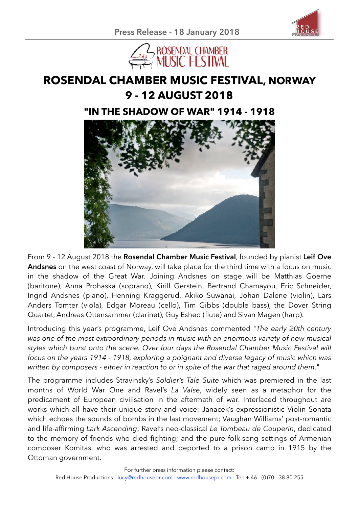



# **ROSENDAL CHAMBER MUSIC FESTIVAL, NORWAY 9 - 12 AUGUST 2018**

# **"IN THE SHADOW OF WAR" 1914 - 1918**



From 9 - 12 August 2018 the **Rosendal Chamber Music Festival**, founded by pianist **Leif Ove Andsnes** on the west coast of Norway, will take place for the third time with a focus on music in the shadow of the Great War. Joining Andsnes on stage will be Matthias Goerne (baritone), Anna Prohaska (soprano), Kirill Gerstein, Bertrand Chamayou, Eric Schneider, Ingrid Andsnes (piano), Henning Kraggerud, Akiko Suwanai, Johan Dalene (violin), Lars Anders Tomter (viola), Edgar Moreau (cello), Tim Gibbs (double bass), the Dover String Quartet, Andreas Ottensammer (clarinet), Guy Eshed (flute) and Sivan Magen (harp).

Introducing this year's programme, Leif Ove Andsnes commented "*The early 20th century was one of the most extraordinary periods in music with an enormous variety of new musical styles which burst onto the scene. Over four days the Rosendal Chamber Music Festival will focus on the years 1914 - 1918, exploring a poignant and diverse legacy of music which was written by composers - either in reaction to or in spite of the war that raged around them*."

The programme includes Stravinsky's *Soldier's Tale Suite* which was premiered in the last months of World War One and Ravel's *La Valse*, widely seen as a metaphor for the predicament of European civilisation in the aftermath of war. Interlaced throughout are works which all have their unique story and voice: Janacek's expressionistic Violin Sonata which echoes the sounds of bombs in the last movement; Vaughan Williams' post-romantic and life-affirming *Lark Ascending*; Ravel's neo-classical *Le Tombeau de Couperin*, dedicated to the memory of friends who died fighting; and the pure folk-song settings of Armenian composer Komitas, who was arrested and deported to a prison camp in 1915 by the Ottoman government.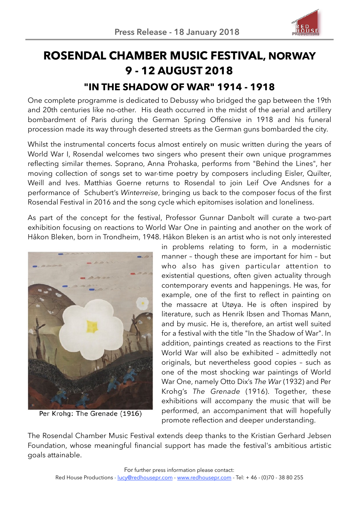

# **ROSENDAL CHAMBER MUSIC FESTIVAL, NORWAY 9 - 12 AUGUST 2018 "IN THE SHADOW OF WAR" 1914 - 1918**

One complete programme is dedicated to Debussy who bridged the gap between the 19th and 20th centuries like no-other. His death occurred in the midst of the aerial and artillery bombardment of Paris during the German Spring Offensive in 1918 and his funeral procession made its way through deserted streets as the German guns bombarded the city.

Whilst the instrumental concerts focus almost entirely on music written during the years of World War I, Rosendal welcomes two singers who present their own unique programmes reflecting similar themes. Soprano, Anna Prohaska, performs from "Behind the Lines", her moving collection of songs set to war-time poetry by composers including Eisler, Quilter, Weill and Ives. Matthias Goerne returns to Rosendal to join Leif Ove Andsnes for a performance of Schubert's *Winterreise*, bringing us back to the composer focus of the first Rosendal Festival in 2016 and the song cycle which epitomises isolation and loneliness.

As part of the concept for the festival, Professor Gunnar Danbolt will curate a two-part exhibition focusing on reactions to World War One in painting and another on the work of Håkon Bleken, born in Trondheim, 1948. Håkon Bleken is an artist who is not only interested



Per Krohg: The Grenade (1916)

in problems relating to form, in a modernistic manner – though these are important for him – but who also has given particular attention to existential questions, often given actuality through contemporary events and happenings. He was, for example, one of the first to reflect in painting on the massacre at Utøya. He is often inspired by literature, such as Henrik Ibsen and Thomas Mann, and by music. He is, therefore, an artist well suited for a festival with the title "In the Shadow of War". In addition, paintings created as reactions to the First World War will also be exhibited – admittedly not originals, but nevertheless good copies – such as one of the most shocking war paintings of World War One, namely Otto Dix's *The War* (1932) and Per Krohg's *The Grenade* (1916). Together, these exhibitions will accompany the music that will be performed, an accompaniment that will hopefully promote reflection and deeper understanding.

The Rosendal Chamber Music Festival extends deep thanks to the Kristian Gerhard Jebsen Foundation, whose meaningful financial support has made the festival's ambitious artistic goals attainable.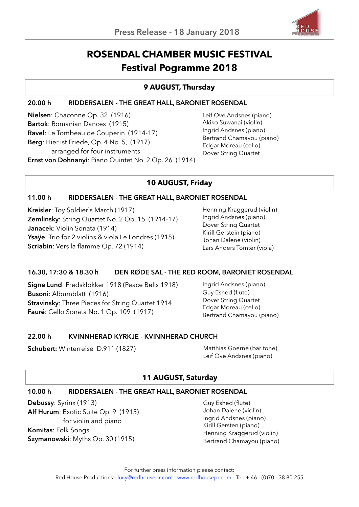

# **ROSENDAL CHAMBER MUSIC FESTIVAL Festival Pogramme 2018**

# **9 AUGUST, Thursday**

#### **20.00 h RIDDERSALEN - THE GREAT HALL, BARONIET ROSENDAL**

**Nielsen**: Chaconne Op. 32 (1916) **Bartok**: Romanian Dances (1915) **Ravel**: Le Tombeau de Couperin (1914-17) **Berg**: Hier ist Friede, Op. 4 No. 5, (1917) arranged for four instruments **Ernst von Dohnanyi**: Piano Quintet No. 2 Op. 26 (1914)

Leif Ove Andsnes (piano) Akiko Suwanai (violin) Ingrid Andsnes (piano) Bertrand Chamayou (piano) Edgar Moreau (cello) Dover String Quartet

# **10 AUGUST, Friday**

#### **11.00 h RIDDERSALEN - THE GREAT HALL, BARONIET ROSENDAL**

**Kreisler**: Toy Soldier`s March (1917) **Zemlinsky**: String Quartet No. 2 Op. 15 (1914-17) **Janacek**: Violin Sonata (1914) **Ysaÿe**: Trio for 2 violins & viola Le Londres (1915) **Scriabin**: Vers la flamme Op. 72 (1914)

Henning Kraggerud (violin) Ingrid Andsnes (piano) Dover String Quartet Kirill Gerstein (piano) Johan Dalene (violin) Lars Anders Tomter (viola)

## **16.30, 17:30 & 18.30 h DEN RØDE SAL - THE RED ROOM, BARONIET ROSENDAL**

**Signe Lund**: Fredsklokker 1918 (Peace Bells 1918) **Busoni**: Albumblatt (1916) **Stravinsky**: Three Pieces for String Quartet 1914 **Fauré**: Cello Sonata No. 1 Op. 109 (1917)

Ingrid Andsnes (piano) Guy Eshed (flute) Dover String Quartet Edgar Moreau (cello) Bertrand Chamayou (piano)

## **22.00 h KVINNHERAD KYRKJE - KVINNHERAD CHURCH**

**Schubert:** Winterreise D.911 (1827) Matthias Goerne (baritone)

Leif Ove Andsnes (piano)

# **11 AUGUST, Saturday**

## **10.00 h RIDDERSALEN - THE GREAT HALL, BARONIET ROSENDAL**

**Debussy**: Syrinx (1913) **Alf Hurum**: Exotic Suite Op. 9 (1915) for violin and piano **Komitas**: Folk Songs **Szymanowski**: Myths Op. 30 (1915)

Guy Eshed (flute) Johan Dalene (violin) Ingrid Andsnes (piano) Kirill Gersten (piano) Henning Kraggerud (violin) Bertrand Chamayou (piano)